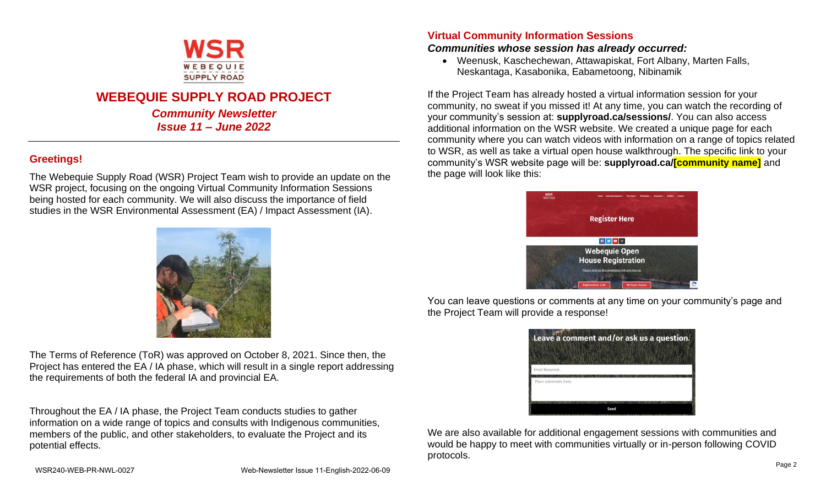

# **WEBEQUIE SUPPLY ROAD PROJECT**

*Community Newsletter Issue 11 – June 2022*

## **Greetings!**

The Webequie Supply Road (WSR) Project Team wish to provide an update on the WSR project, focusing on the ongoing Virtual Community Information Sessions being hosted for each community. We will also discuss the importance of field studies in the WSR Environmental Assessment (EA) / Impact Assessment (IA).



The Terms of Reference (ToR) was approved on October 8, 2021. Since then, the Project has entered the EA / IA phase, which will result in a single report addressing the requirements of both the federal IA and provincial EA.

Throughout the EA / IA phase, the Project Team conducts studies to gather information on a wide range of topics and consults with Indigenous communities, members of the public, and other stakeholders, to evaluate the Project and its potential effects.

### **Virtual Community Information Sessions**

#### *Communities whose session has already occurred:*

• Weenusk, Kaschechewan, Attawapiskat, Fort Albany, Marten Falls, Neskantaga, Kasabonika, Eabametoong, Nibinamik

If the Project Team has already hosted a virtual information session for your community, no sweat if you missed it! At any time, you can watch the recording of your community's session at: **supplyroad.ca/sessions/**. You can also access additional information on the WSR website. We created a unique page for each community where you can watch videos with information on a range of topics related to WSR, as well as take a virtual open house walkthrough. The specific link to your community's WSR website page will be: **supplyroad.ca/[community name]** and the page will look like this:



You can leave questions or comments at any time on your community's page and the Project Team will provide a response!

| Leave a comment and/or ask us a question. |  |
|-------------------------------------------|--|
| Email Required.                           |  |
| Place comments here.                      |  |
| Send                                      |  |

We are also available for additional engagement sessions with communities and would be happy to meet with communities virtually or in-person following COVID protocols.